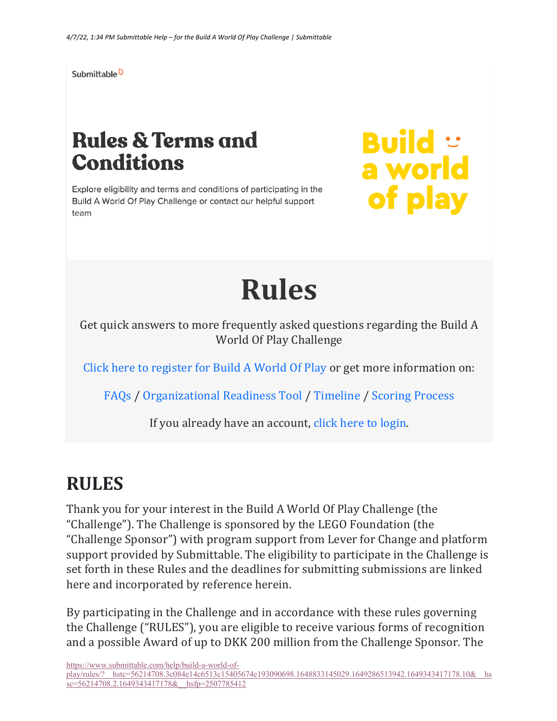Submittable<sup>D</sup>

# **Rules & Terms and Conditions**

Explore eligibility and terms and conditions of participating in the Build A World Of Play Challenge or contact our helpful support team

**Build ::**<br>a world of play

# **Rules**

Get quick answers to more frequently asked questions regarding the Build A World Of Play Challenge

Click here to register for Build A World Of Play or get more information on:

FAQs / Organizational Readiness Tool / Timeline / Scoring Process

If you already have an account, click here to login.

#### **RULES**

Thank you for your interest in the Build A World Of Play Challenge (the "Challenge"). The Challenge is sponsored by the LEGO Foundation (the "Challenge Sponsor") with program support from Lever for Change and platform support provided by Submittable. The eligibility to participate in the Challenge is set forth in these Rules and the deadlines for submitting submissions are linked here and incorporated by reference herein.

By participating in the Challenge and in accordance with these rules governing the Challenge ("RULES"), you are eligible to receive various forms of recognition and a possible Award of up to DKK 200 million from the Challenge Sponsor. The

https://www.submittable.com/help/build-a-world-ofplay/rules/?\_\_hstc=56214708.3c084e14c6513c15405674e193090698.1648833145029.1649286513942.1649343417178.10&\_\_hs sc=56214708.2.1649343417178& hsfp=2507785412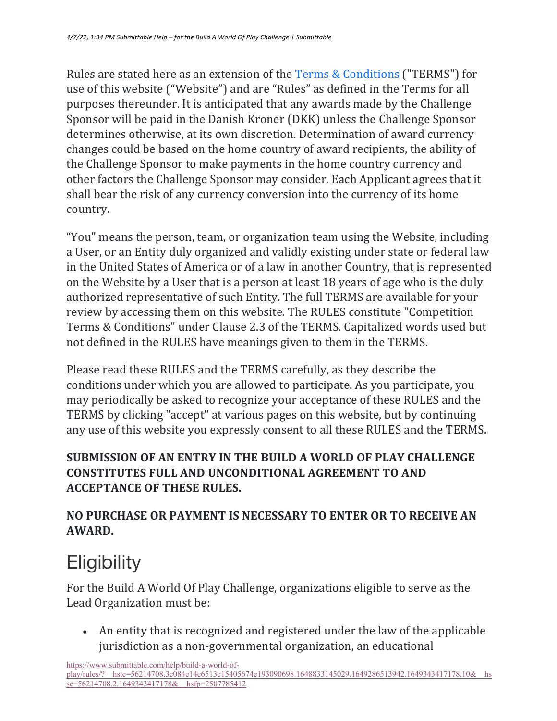Rules are stated here as an extension of the Terms & Conditions ("TERMS") for use of this website ("Website") and are "Rules" as defined in the Terms for all purposes thereunder. It is anticipated that any awards made by the Challenge Sponsor will be paid in the Danish Kroner (DKK) unless the Challenge Sponsor determines otherwise, at its own discretion. Determination of award currency changes could be based on the home country of award recipients, the ability of the Challenge Sponsor to make payments in the home country currency and other factors the Challenge Sponsor may consider. Each Applicant agrees that it shall bear the risk of any currency conversion into the currency of its home country.

"You" means the person, team, or organization team using the Website, including a User, or an Entity duly organized and validly existing under state or federal law in the United States of America or of a law in another Country, that is represented on the Website by a User that is a person at least 18 years of age who is the duly authorized representative of such Entity. The full TERMS are available for your review by accessing them on this website. The RULES constitute "Competition Terms & Conditions" under Clause 2.3 of the TERMS. Capitalized words used but not defined in the RULES have meanings given to them in the TERMS.

Please read these RULES and the TERMS carefully, as they describe the conditions under which you are allowed to participate. As you participate, you may periodically be asked to recognize your acceptance of these RULES and the TERMS by clicking "accept" at various pages on this website, but by continuing any use of this website you expressly consent to all these RULES and the TERMS.

#### **SUBMISSION OF AN ENTRY IN THE BUILD A WORLD OF PLAY CHALLENGE CONSTITUTES FULL AND UNCONDITIONAL AGREEMENT TO AND ACCEPTANCE OF THESE RULES.**

#### **NO PURCHASE OR PAYMENT IS NECESSARY TO ENTER OR TO RECEIVE AN AWARD.**

# **Eligibility**

For the Build A World Of Play Challenge, organizations eligible to serve as the Lead Organization must be:

• An entity that is recognized and registered under the law of the applicable jurisdiction as a non-governmental organization, an educational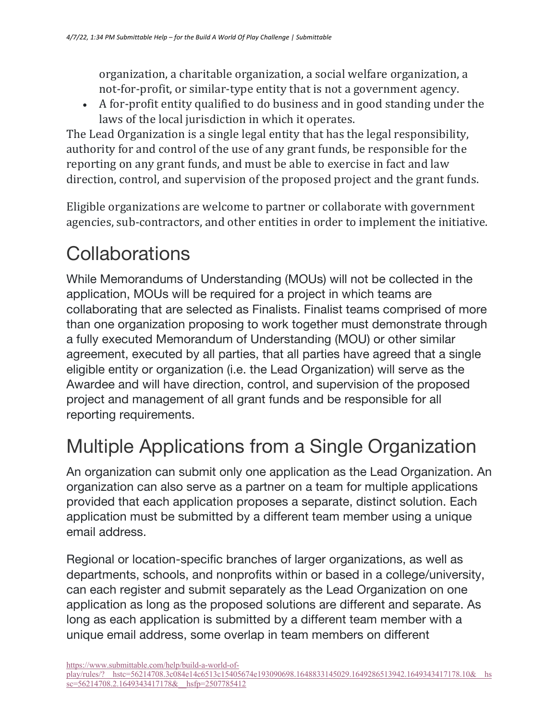organization, a charitable organization, a social welfare organization, a not-for-profit, or similar-type entity that is not a government agency.

• A for-profit entity qualified to do business and in good standing under the laws of the local jurisdiction in which it operates.

The Lead Organization is a single legal entity that has the legal responsibility, authority for and control of the use of any grant funds, be responsible for the reporting on any grant funds, and must be able to exercise in fact and law direction, control, and supervision of the proposed project and the grant funds.

Eligible organizations are welcome to partner or collaborate with government agencies, sub-contractors, and other entities in order to implement the initiative.

#### **Collaborations**

While Memorandums of Understanding (MOUs) will not be collected in the application, MOUs will be required for a project in which teams are collaborating that are selected as Finalists. Finalist teams comprised of more than one organization proposing to work together must demonstrate through a fully executed Memorandum of Understanding (MOU) or other similar agreement, executed by all parties, that all parties have agreed that a single eligible entity or organization (i.e. the Lead Organization) will serve as the Awardee and will have direction, control, and supervision of the proposed project and management of all grant funds and be responsible for all reporting requirements.

### Multiple Applications from a Single Organization

An organization can submit only one application as the Lead Organization. An organization can also serve as a partner on a team for multiple applications provided that each application proposes a separate, distinct solution. Each application must be submitted by a different team member using a unique email address.

Regional or location-specific branches of larger organizations, as well as departments, schools, and nonprofits within or based in a college/university, can each register and submit separately as the Lead Organization on one application as long as the proposed solutions are different and separate. As long as each application is submitted by a different team member with a unique email address, some overlap in team members on different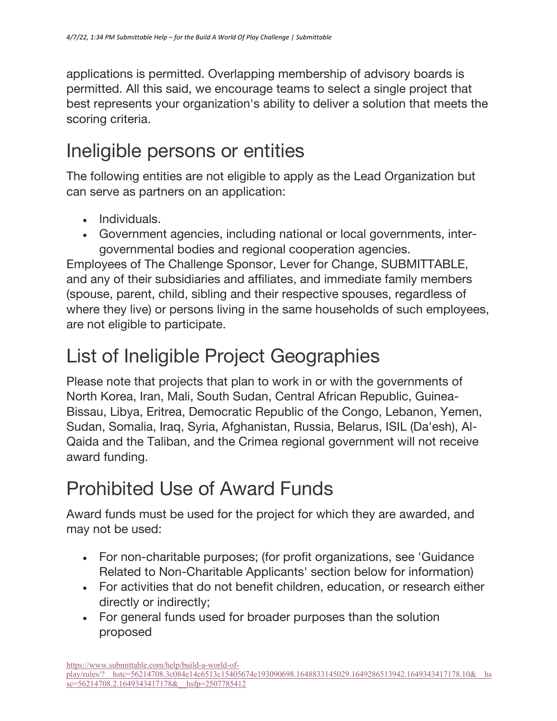applications is permitted. Overlapping membership of advisory boards is permitted. All this said, we encourage teams to select a single project that best represents your organization's ability to deliver a solution that meets the scoring criteria.

#### Ineligible persons or entities

The following entities are not eligible to apply as the Lead Organization but can serve as partners on an application:

- Individuals.
- Government agencies, including national or local governments, intergovernmental bodies and regional cooperation agencies.

Employees of The Challenge Sponsor, Lever for Change, SUBMITTABLE, and any of their subsidiaries and affiliates, and immediate family members (spouse, parent, child, sibling and their respective spouses, regardless of where they live) or persons living in the same households of such employees, are not eligible to participate.

### List of Ineligible Project Geographies

Please note that projects that plan to work in or with the governments of North Korea, Iran, Mali, South Sudan, Central African Republic, Guinea-Bissau, Libya, Eritrea, Democratic Republic of the Congo, Lebanon, Yemen, Sudan, Somalia, Iraq, Syria, Afghanistan, Russia, Belarus, ISIL (Da'esh), Al-Qaida and the Taliban, and the Crimea regional government will not receive award funding.

# Prohibited Use of Award Funds

Award funds must be used for the project for which they are awarded, and may not be used:

- For non-charitable purposes; (for profit organizations, see 'Guidance Related to Non-Charitable Applicants' section below for information)
- For activities that do not benefit children, education, or research either directly or indirectly;
- For general funds used for broader purposes than the solution proposed

https://www.submittable.com/help/build-a-world-of-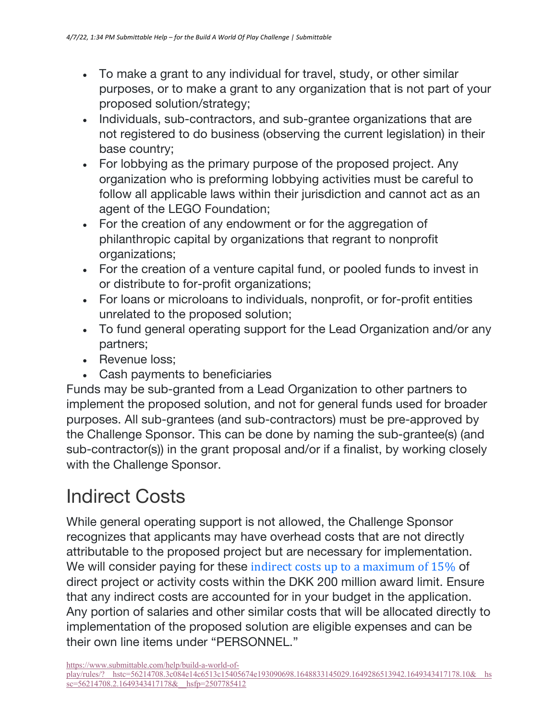- To make a grant to any individual for travel, study, or other similar purposes, or to make a grant to any organization that is not part of your proposed solution/strategy;
- Individuals, sub-contractors, and sub-grantee organizations that are not registered to do business (observing the current legislation) in their base country;
- For lobbying as the primary purpose of the proposed project. Any organization who is preforming lobbying activities must be careful to follow all applicable laws within their jurisdiction and cannot act as an agent of the LEGO Foundation;
- For the creation of any endowment or for the aggregation of philanthropic capital by organizations that regrant to nonprofit organizations;
- For the creation of a venture capital fund, or pooled funds to invest in or distribute to for-profit organizations;
- For loans or microloans to individuals, nonprofit, or for-profit entities unrelated to the proposed solution;
- To fund general operating support for the Lead Organization and/or any partners;
- Revenue loss;
- Cash payments to beneficiaries

Funds may be sub-granted from a Lead Organization to other partners to implement the proposed solution, and not for general funds used for broader purposes. All sub-grantees (and sub-contractors) must be pre-approved by the Challenge Sponsor. This can be done by naming the sub-grantee(s) (and sub-contractor(s)) in the grant proposal and/or if a finalist, by working closely with the Challenge Sponsor.

#### Indirect Costs

While general operating support is not allowed, the Challenge Sponsor recognizes that applicants may have overhead costs that are not directly attributable to the proposed project but are necessary for implementation. We will consider paying for these indirect costs up to a maximum of  $15\%$  of direct project or activity costs within the DKK 200 million award limit. Ensure that any indirect costs are accounted for in your budget in the application. Any portion of salaries and other similar costs that will be allocated directly to implementation of the proposed solution are eligible expenses and can be their own line items under "PERSONNEL."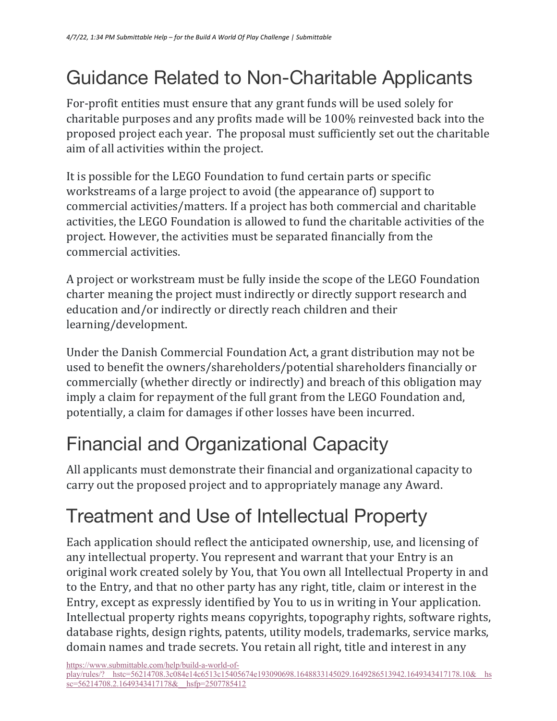# Guidance Related to Non-Charitable Applicants

For-profit entities must ensure that any grant funds will be used solely for charitable purposes and any profits made will be 100% reinvested back into the proposed project each year. The proposal must sufficiently set out the charitable aim of all activities within the project.

It is possible for the LEGO Foundation to fund certain parts or specific workstreams of a large project to avoid (the appearance of) support to commercial activities/matters. If a project has both commercial and charitable activities, the LEGO Foundation is allowed to fund the charitable activities of the project. However, the activities must be separated financially from the commercial activities.

A project or workstream must be fully inside the scope of the LEGO Foundation charter meaning the project must indirectly or directly support research and education and/or indirectly or directly reach children and their learning/development.

Under the Danish Commercial Foundation Act, a grant distribution may not be used to benefit the owners/shareholders/potential shareholders financially or commercially (whether directly or indirectly) and breach of this obligation may imply a claim for repayment of the full grant from the LEGO Foundation and, potentially, a claim for damages if other losses have been incurred.

# Financial and Organizational Capacity

All applicants must demonstrate their financial and organizational capacity to carry out the proposed project and to appropriately manage any Award.

# Treatment and Use of Intellectual Property

Each application should reflect the anticipated ownership, use, and licensing of any intellectual property. You represent and warrant that your Entry is an original work created solely by You, that You own all Intellectual Property in and to the Entry, and that no other party has any right, title, claim or interest in the Entry, except as expressly identified by You to us in writing in Your application. Intellectual property rights means copyrights, topography rights, software rights, database rights, design rights, patents, utility models, trademarks, service marks, domain names and trade secrets. You retain all right, title and interest in any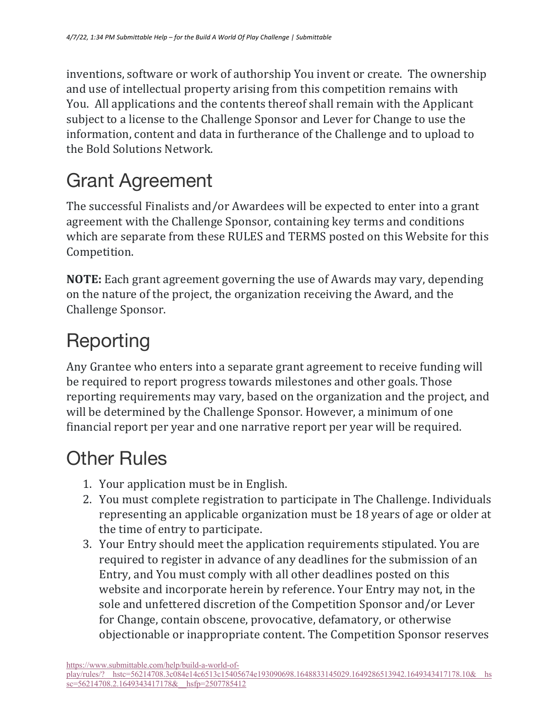inventions, software or work of authorship You invent or create. The ownership and use of intellectual property arising from this competition remains with You. All applications and the contents thereof shall remain with the Applicant subject to a license to the Challenge Sponsor and Lever for Change to use the information, content and data in furtherance of the Challenge and to upload to the Bold Solutions Network.

# Grant Agreement

The successful Finalists and/or Awardees will be expected to enter into a grant agreement with the Challenge Sponsor, containing key terms and conditions which are separate from these RULES and TERMS posted on this Website for this Competition.

**NOTE:** Each grant agreement governing the use of Awards may vary, depending on the nature of the project, the organization receiving the Award, and the Challenge Sponsor.

# Reporting

Any Grantee who enters into a separate grant agreement to receive funding will be required to report progress towards milestones and other goals. Those reporting requirements may vary, based on the organization and the project, and will be determined by the Challenge Sponsor. However, a minimum of one financial report per year and one narrative report per year will be required.

### Other Rules

- 1. Your application must be in English.
- 2. You must complete registration to participate in The Challenge. Individuals representing an applicable organization must be 18 years of age or older at the time of entry to participate.
- 3. Your Entry should meet the application requirements stipulated. You are required to register in advance of any deadlines for the submission of an Entry, and You must comply with all other deadlines posted on this website and incorporate herein by reference. Your Entry may not, in the sole and unfettered discretion of the Competition Sponsor and/or Lever for Change, contain obscene, provocative, defamatory, or otherwise objectionable or inappropriate content. The Competition Sponsor reserves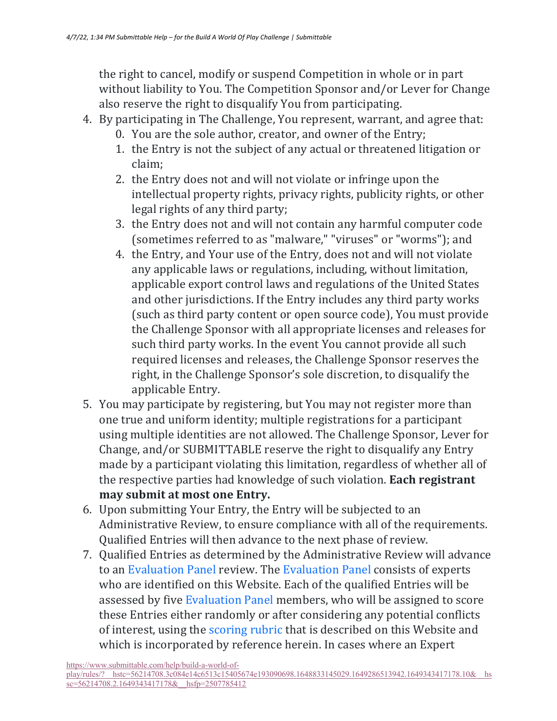the right to cancel, modify or suspend Competition in whole or in part without liability to You. The Competition Sponsor and/or Lever for Change also reserve the right to disqualify You from participating.

- 4. By participating in The Challenge, You represent, warrant, and agree that:
	- 0. You are the sole author, creator, and owner of the Entry;
	- 1. the Entry is not the subject of any actual or threatened litigation or claim;
	- 2. the Entry does not and will not violate or infringe upon the intellectual property rights, privacy rights, publicity rights, or other legal rights of any third party;
	- 3. the Entry does not and will not contain any harmful computer code (sometimes referred to as "malware," "viruses" or "worms"); and
	- 4. the Entry, and Your use of the Entry, does not and will not violate any applicable laws or regulations, including, without limitation, applicable export control laws and regulations of the United States and other jurisdictions. If the Entry includes any third party works (such as third party content or open source code), You must provide the Challenge Sponsor with all appropriate licenses and releases for such third party works. In the event You cannot provide all such required licenses and releases, the Challenge Sponsor reserves the right, in the Challenge Sponsor's sole discretion, to disqualify the applicable Entry.
- 5. You may participate by registering, but You may not register more than one true and uniform identity; multiple registrations for a participant using multiple identities are not allowed. The Challenge Sponsor, Lever for Change, and/or SUBMITTABLE reserve the right to disqualify any Entry made by a participant violating this limitation, regardless of whether all of the respective parties had knowledge of such violation. Each registrant may submit at most one Entry.
- 6. Upon submitting Your Entry, the Entry will be subjected to an Administrative Review, to ensure compliance with all of the requirements. Qualified Entries will then advance to the next phase of review.
- 7. Qualified Entries as determined by the Administrative Review will advance to an Evaluation Panel review. The Evaluation Panel consists of experts who are identified on this Website. Each of the qualified Entries will be assessed by five Evaluation Panel members, who will be assigned to score these Entries either randomly or after considering any potential conflicts of interest, using the scoring rubric that is described on this Website and which is incorporated by reference herein. In cases where an Expert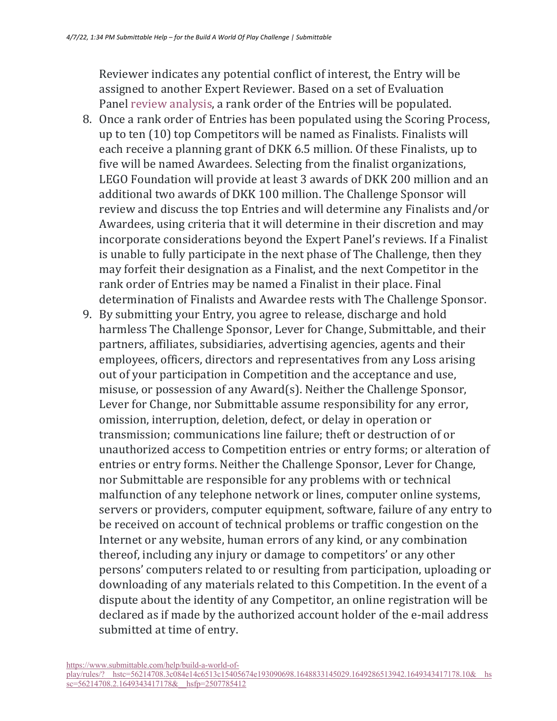Reviewer indicates any potential conflict of interest, the Entry will be assigned to another Expert Reviewer. Based on a set of Evaluation Panel review analysis, a rank order of the Entries will be populated.

- 8. Once a rank order of Entries has been populated using the Scoring Process, up to ten (10) top Competitors will be named as Finalists. Finalists will each receive a planning grant of DKK 6.5 million. Of these Finalists, up to five will be named Awardees. Selecting from the finalist organizations, LEGO Foundation will provide at least 3 awards of DKK 200 million and an additional two awards of DKK 100 million. The Challenge Sponsor will review and discuss the top Entries and will determine any Finalists and/or Awardees, using criteria that it will determine in their discretion and may incorporate considerations beyond the Expert Panel's reviews. If a Finalist is unable to fully participate in the next phase of The Challenge, then they may forfeit their designation as a Finalist, and the next Competitor in the rank order of Entries may be named a Finalist in their place. Final determination of Finalists and Awardee rests with The Challenge Sponsor.
- 9. By submitting your Entry, you agree to release, discharge and hold harmless The Challenge Sponsor, Lever for Change, Submittable, and their partners, affiliates, subsidiaries, advertising agencies, agents and their employees, officers, directors and representatives from any Loss arising out of your participation in Competition and the acceptance and use, misuse, or possession of any  $Award(s)$ . Neither the Challenge Sponsor, Lever for Change, nor Submittable assume responsibility for any error, omission, interruption, deletion, defect, or delay in operation or transmission; communications line failure; theft or destruction of or unauthorized access to Competition entries or entry forms; or alteration of entries or entry forms. Neither the Challenge Sponsor, Lever for Change, nor Submittable are responsible for any problems with or technical malfunction of any telephone network or lines, computer online systems, servers or providers, computer equipment, software, failure of any entry to be received on account of technical problems or traffic congestion on the Internet or any website, human errors of any kind, or any combination thereof, including any injury or damage to competitors' or any other persons' computers related to or resulting from participation, uploading or downloading of any materials related to this Competition. In the event of a dispute about the identity of any Competitor, an online registration will be declared as if made by the authorized account holder of the e-mail address submitted at time of entry.